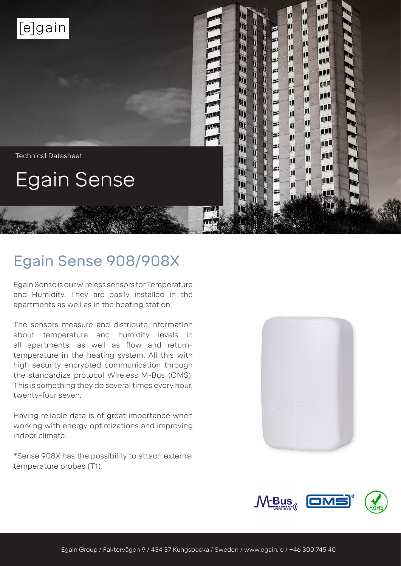

# Egain Sense 908/908X

Egain Sense is our wireless sensors for Temperature and Humidity. They are easily installed in the apartments as well as in the heating station.

The sensors measure and distribute information about temperature and humidity levels in all apartments, as well as flow and returntemperature in the heating system. All this with high security encrypted communication through the standardize protocol Wireless M-Bus (OMS). This is something they do several times every hour, twenty-four seven.

Having reliable data is of great importance when working with energy optimizations and improving indoor climate.

\*Sense 908X has the possibility to attach external temperature probes (T1).